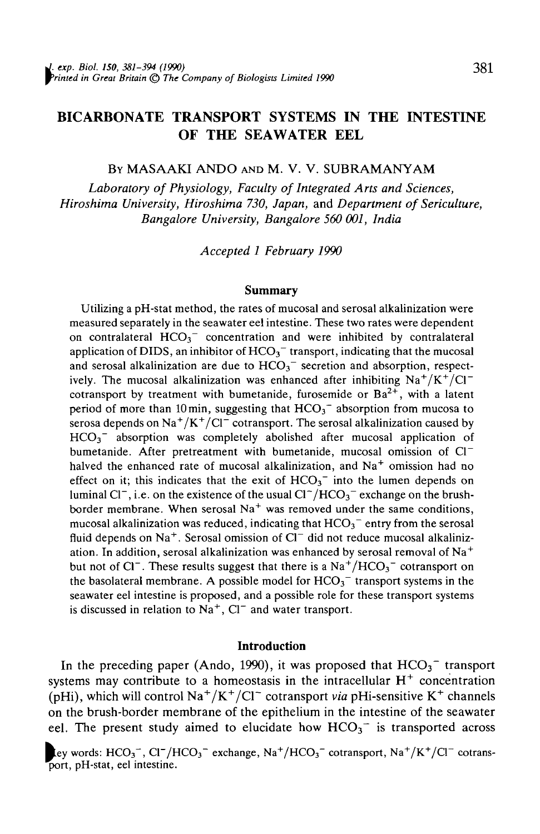# BICARBONATE TRANSPORT SYSTEMS IN THE INTESTINE OF THE SEAWATER EEL

#### BY MASAAKI ANDO AND M. V. V. SUBRAMANYAM

*Laboratory of Physiology, Faculty of Integrated Arts and Sciences, Hiroshima University, Hiroshima 730, Japan,* and *Department of Sericulture, Bangalore University, Bangalore 560 001, India*

*Accepted 1 February 1990*

### **Summary**

Utilizing a pH-stat method, the rates of mucosal and serosal alkalinization were measured separately in the seawater eel intestine. These two rates were dependent on contralateral  $HCO_3$ <sup>-</sup> concentration and were inhibited by contralateral application of DIDS, an inhibitor of  $HCO<sub>3</sub><sup>-</sup>$  transport, indicating that the mucosal and serosal alkalinization are due to  $HCO<sub>3</sub><sup>-</sup>$  secretion and absorption, respectively. The mucosal alkalinization was enhanced after inhibiting  $\text{Na}^+/ \text{K}^+/ \text{Cl}^$ cotransport by treatment with bumetanide, furosemide or  $Ba^{2+}$ , with a latent period of more than 10 min, suggesting that  $HCO<sub>3</sub><sup>-</sup>$  absorption from mucosa to serosa depends on  $\text{Na}^+/ \text{K}^+/\text{Cl}^-$  cotransport. The serosal alkalinization caused by  $HCO<sub>3</sub>$ <sup>-</sup> absorption was completely abolished after mucosal application of bumetanide. After pretreatment with bumetanide, mucosal omission of  $Cl^$ halved the enhanced rate of mucosal alkalinization, and Na<sup>+</sup> omission had no effect on it; this indicates that the exit of  $HCO<sub>3</sub><sup>-</sup>$  into the lumen depends on luminal Cl<sup>-</sup>, i.e. on the existence of the usual  $Cl^{-}/HCO_3^{-}$  exchange on the brush $b^2$  caling terms on the calculate of the usual or  $\frac{1}{2}$   $\frac{1}{2}$  caling on the order the same conditions. mucosal alkalinization was reduced, indicating that  $HCO<sub>3</sub><sup>-</sup>$  entry from the serosal  $\mu$ ind depends on Na<sup>+</sup> Serosal omission of Cl<sup>-</sup> did not reduce mucosal alkalinization. In addition, serosal alkalinization was enhanced by serosal removal of Na<sup>+</sup> ation. In addition, serosal atkannization was chilanced by serosal relitional of tya<br>but not of Cl<sup>-</sup>. These results suggest that there is a Na<sup>+</sup>/HCO<sub>2</sub><sup>-</sup> cotransport on the basolateral membrane. A possible model for  $HCO<sub>3</sub><sup>-</sup>$  transport systems in the seawater eel intestine is proposed, and a possible role for these transport systems seawater een intestine is proposed, and a possible fole for<br>is discussed in relation to  $N_2$ <sup>+</sup>.  $CT^-$  and water transport.

### **Introduction**

In the preceding paper (Ando, 1990), it was proposed that  $HCO<sub>3</sub><sup>-</sup>$  transport systems may contribute to a homeostasis in the intracellular  $H<sup>+</sup>$  concentration (pHi), which will control  $\text{Na}^+/ \text{K}^+/ \text{Cl}^-$  cotransport *via* pHi-sensitive K<sup>+</sup> channels on the brush-border membrane of the epithelium in the intestine of the seawater eel. The present study aimed to elucidate how  $HCO<sub>3</sub><sup>-</sup>$  is transported across

key words: HCO<sub>3</sub><sup>-</sup>, Cl<sup>-</sup>/HCO<sub>3</sub><sup>-</sup> exchange, Na<sup>+</sup>/HCO<sub>3</sub><sup>-</sup> cotransport, Na<sup>+</sup>/K<sup>+</sup>/Cl<sup>-</sup> cotrans-<br>port, pH-stat, eel intestine.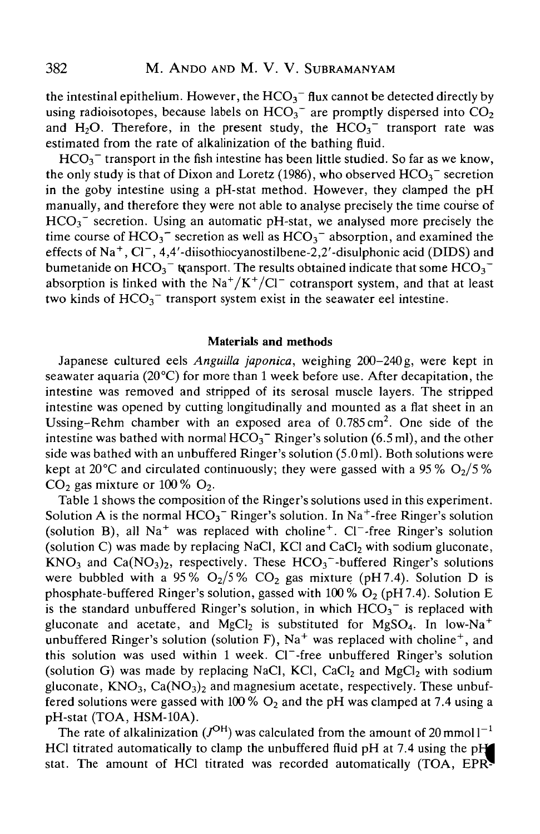the intestinal epithelium. However, the  $HCO<sub>3</sub><sup>-</sup>$  flux cannot be detected directly by using radioisotopes, because labels on  $HCO<sub>3</sub><sup>-</sup>$  are promptly dispersed into  $CO<sub>2</sub>$ and  $H_2O$ . Therefore, in the present study, the  $HCO_3$ <sup>-</sup> transport rate was estimated from the rate of alkalinization of the bathing fluid.

 $HCO<sub>3</sub><sup>-</sup>$  transport in the fish intestine has been little studied. So far as we know, the only study is that of Dixon and Loretz (1986), who observed  $HCO<sub>3</sub>$ <sup>-</sup> secretion in the goby intestine using a pH-stat method. However, they clamped the pH manually, and therefore they were not able to analyse precisely the time course of  $HCO<sub>3</sub>$ <sup>-</sup> secretion. Using an automatic pH-stat, we analysed more precisely the time course of  $HCO_3^-$  secretion as well as  $HCO_3^-$  absorption, and examined the effects of Na<sup>+</sup>, Cl<sup>-</sup>, 4,4'-diisothiocyanostilbene-2,2'-disulphonic acid (DIDS) and bumetanide on  $HCO_3^-$  transport. The results obtained indicate that some  $HCO_3^$ absorption is linked with the  $\text{Na}^+/ \text{K}^+/ \text{Cl}^-$  cotransport system, and that at least two kinds of  $HCO<sub>3</sub><sup>-</sup>$  transport system exist in the seawater eel intestine.

## Materials and methods

Japanese cultured eels *Anguilla japonica,* weighing 200-240 g, were kept in seawater aquaria ( $20^{\circ}$ C) for more than 1 week before use. After decapitation, the intestine was removed and stripped of its serosal muscle layers. The stripped intestine was opened by cutting longitudinally and mounted as a flat sheet in an Ussing-Rehm chamber with an exposed area of  $0.785 \text{ cm}^2$ . One side of the intestine was bathed with normal  $HCO<sub>3</sub><sup>-</sup>$  Ringer's solution (6.5 ml), and the other side was bathed with an unbuffered Ringer's solution (5.0 ml). Both solutions were kept at 20 °C and circulated continuously; they were gassed with a 95 %  $O_2/5$  %  $CO<sub>2</sub>$  gas mixture or 100 %  $O<sub>2</sub>$ .

Table 1 shows the composition of the Ringer's solutions used in this experiment. Solution A is the normal  $HCO_3^-$  Ringer's solution. In Na<sup>+</sup>-free Ringer's solution (solution B), all  $Na<sup>+</sup>$  was replaced with choline<sup>+</sup>. Cl<sup>-</sup>-free Ringer's solution (solution C) was made by replacing NaCl, KCl and CaCl<sub>2</sub> with sodium gluconate,  $KNO<sub>3</sub>$  and  $Ca(NO<sub>3</sub>)<sub>2</sub>$ , respectively. These  $HCO<sub>3</sub>$ -buffered Ringer's solutions were bubbled with a 95%  $O_2/5\%$  CO<sub>2</sub> gas mixture (pH7.4). Solution D is phosphate-buffered Ringer's solution, gassed with  $100\%$  O<sub>2</sub> (pH7.4). Solution E is the standard unbuffered Ringer's solution, in which  $HCO<sub>3</sub><sup>-</sup>$  is replaced with gluconate and acetate, and MgCl<sub>2</sub> is substituted for MgSO<sub>4</sub>. In low-Na<sup>+</sup>  $\overline{\mathbf{u}}$  unbuffered Ringer's solution (solution F), Na<sup>+</sup> was replaced with choline<sup>+</sup>, and this solution was used within 1 week. Cl<sup>-</sup>-free unbuffered Ringer's solution (solution G) was made by replacing NaCl, KCl, CaCl<sub>2</sub> and MgCl<sub>2</sub> with sodium gluconate,  $KNO_3$ ,  $Ca(NO_3)_2$  and magnesium acetate, respectively. These unbuffered solutions were gassed with 100 %  $O<sub>2</sub>$  and the pH was clamped at 7.4 using a pH-stat (TOA, HSM-10A).

The rate of alkalinization ( $J^{OH}$ ) was calculated from the amount of 20 mmoll<sup>-1</sup> HCl titrated automatically to clamp the unbuffered fluid pH at 7.4 using the pH stat. The amount of HCl titrated was recorded automatically (TOA, EPR-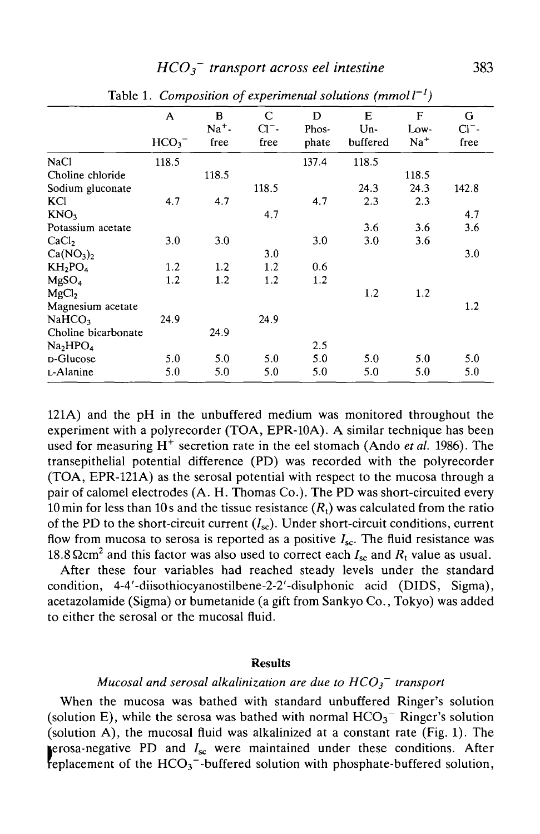## *HCO3 transport across eel intestine* 383

| racio 1. Composition of experimental sovations (miniori |                  |       |              |       |          |             |          |
|---------------------------------------------------------|------------------|-------|--------------|-------|----------|-------------|----------|
|                                                         | A                | B     | $\mathsf{C}$ | D     | Е        | $\mathbf F$ | G        |
|                                                         |                  | $Na+$ | $Cl^-$       | Phos- | Un-      | Low-        | $Cl^-$ - |
|                                                         | HCO <sub>3</sub> | free  | free         | phate | buffered | $Na+$       | free     |
| <b>NaCl</b>                                             | 118.5            |       |              | 137.4 | 118.5    |             |          |
| Choline chloride                                        |                  | 118.5 |              |       |          | 118.5       |          |
| Sodium gluconate                                        |                  |       | 118.5        |       | 24.3     | 24.3        | 142.8    |
| KCI                                                     | 4.7              | 4.7   |              | 4.7   | 2.3      | 2.3         |          |
| KNO <sub>3</sub>                                        |                  |       | 4.7          |       |          |             | 4.7      |
| Potassium acetate                                       |                  |       |              |       | 3.6      | 3.6         | 3.6      |
| CaCl <sub>2</sub>                                       | 3.0              | 3.0   |              | 3.0   | 3.0      | 3.6         |          |
| Ca(NO <sub>3</sub> ) <sub>2</sub>                       |                  |       | 3.0          |       |          |             | 3.0      |
| $KH_2PO_4$                                              | 1.2              | 1.2   | 1.2          | 0.6   |          |             |          |
| MgSO <sub>4</sub>                                       | 1.2              | 1.2   | 1.2          | 1.2   |          |             |          |
| MgCl <sub>2</sub>                                       |                  |       |              |       | 1.2      | 1.2         |          |
| Magnesium acetate                                       |                  |       |              |       |          |             | 1.2      |
| NaHCO <sub>3</sub>                                      | 24.9             |       | 24.9         |       |          |             |          |
| Choline bicarbonate                                     |                  | 24.9  |              |       |          |             |          |
| Na <sub>2</sub> HPO <sub>4</sub>                        |                  |       |              | 2.5   |          |             |          |
| D-Glucose                                               | 5.0              | 5.0   | 5.0          | 5.0   | 5.0      | 5.0         | 5.0      |
| L-Alanine                                               | 5.0              | 5.0   | 5.0          | 5.0   | 5.0      | 5.0         | 5.0      |

Table 1. Composition of experimental solutions  $(mmoll^{-1})$ 

121A) and the pH in the unbuffered medium was monitored throughout the experiment with a polyrecorder (TOA, EPR-10A). A similar technique has been used for measuring H<sup>+</sup> secretion rate in the eel stomach (Ando et al. 1986). The transepithelial potential difference (PD) was recorded with the polyrecorder (TOA, EPR-121A) as the serosal potential with respect to the mucosa through a pair of calomel electrodes (A. H. Thomas Co.). The PD was short-circuited every 10 min for less than 10 s and the tissue resistance  $(R<sub>t</sub>)$  was calculated from the ratio of the PD to the short-circuit current  $(I_{\rm sc})$ . Under short-circuit conditions, current flow from mucosa to serosa is reported as a positive  $I_{\rm sc}$ . The fluid resistance was 18.8  $\Omega$ cm<sup>2</sup> and this factor was also used to correct each  $I_{\rm sc}$  and  $R_{\rm t}$  value as usual.

After these four variables had reached steady levels under the standard condition, 4-4'-diisothiocyanostilbene-2-2'-disulphonic acid (DIDS, Sigma), acetazolamide (Sigma) or bumetanide (a gift from Sankyo Co., Tokyo) was added to either the serosal or the mucosal fluid.

## Results

## *Mucosal and serosal alkalinization are due to HCO3~ transport*

When the mucosa was bathed with standard unbuffered Ringer's solution (solution E), while the serosa was bathed with normal  $HCO<sub>3</sub><sup>-</sup>$  Ringer's solution (solution A), the mucosal fluid was alkalinized at a constant rate (Fig. 1). The erosa-negative PD and  $I_{sc}$  were maintained under these conditions. After replacement of the  $HCO<sub>3</sub>$ -buffered solution with phosphate-buffered solution,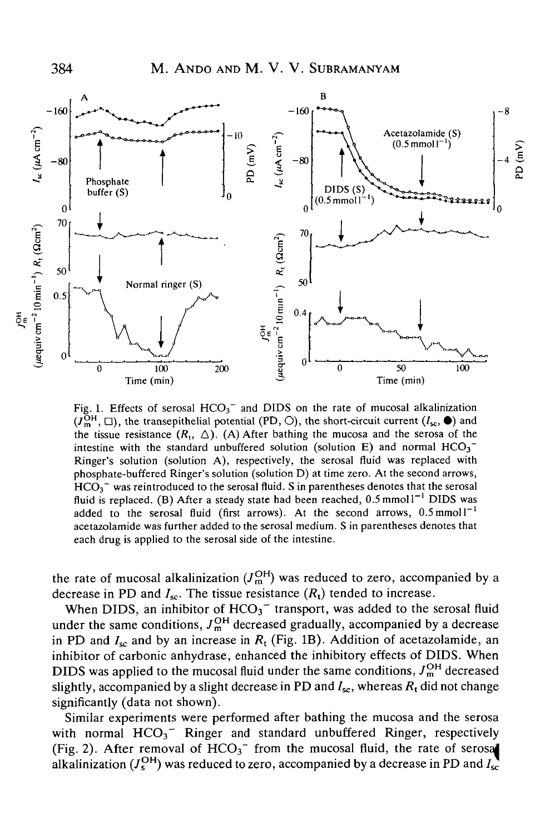

Fig. 1. Effects of serosal  $HCO<sub>3</sub><sup>-</sup>$  and DIDS on the rate of mucosal alkalinization  $(J<sub>m</sub><sup>OH</sup>, \Box)$ , the transepithelial potential (PD, O), the short-circuit current  $(I<sub>sc</sub>, \bullet)$  and the tissue resistance  $(R_t, \triangle)$ . (A) After bathing the mucosa and the serosa of the intestine with the standard unbuffered solution (solution E) and normal  $HCO<sub>3</sub><sup>-</sup>$ Ringer's solution (solution A), respectively, the serosal fluid was replaced with phosphate-buffered Ringer's solution (solution D) at time zero. At the second arrows,  $HCO<sub>3</sub>$ <sup>-</sup> was reintroduced to the serosal fluid. S in parentheses denotes that the serosal fluid is replaced. (B) After a steady state had been reached,  $0.5 \text{ mmol}1^{-1}$  DIDS was added to the serosal fluid (first arrows). At the second arrows,  $0.5 \text{ mmol}1^{-1}$ acetazolamide was further added to the serosal medium. S in parentheses denotes that each drug is applied to the serosal side of the intestine.

the rate of mucosal alkalinization  $(J<sub>m</sub><sup>OH</sup>)$  was reduced to zero, accompanied by a decrease in PD and  $I_{\text{sc}}$ . The tissue resistance  $(R_t)$  tended to increase.

When DIDS, an inhibitor of  $HCO<sub>3</sub><sup>-</sup>$  transport, was added to the serosal fluid under the same conditions,  $J_m^{\text{OH}}$  decreased gradually, accompanied by a decrease in PD and  $I_{sc}$  and by an increase in  $R_t$  (Fig. 1B). Addition of acetazolamide, an inhibitor of carbonic anhydrase, enhanced the inhibitory effects of DIDS. When DIDS was applied to the mucosal fluid under the same conditions,  $J_m^{\text{OH}}$  decreased slightly, accompanied by a slight decrease in PD and  $I_{sc}$ , whereas  $R_t$  did not change significantly (data not shown).

Similar experiments were performed after bathing the mucosa and the serosa with normal  $HCO_3^-$  Ringer and standard unbuffered Ringer, respectively (Fig. 2). After removal of  $HCO<sub>3</sub><sup>-</sup>$  from the mucosal fluid, the rate of serosal alkalinization ( $J_s^{\text{OH}}$ ) was reduced to zero, accompanied by a decrease in PD and  $I_s$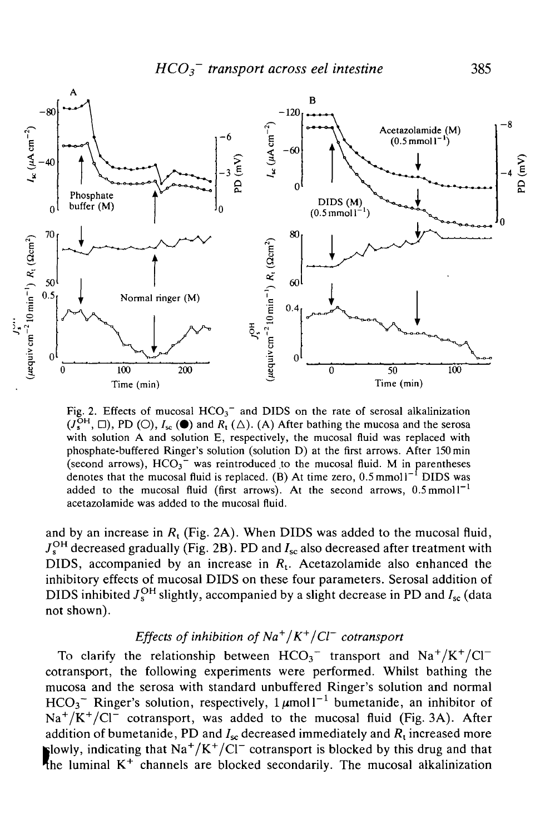

Fig. 2. Effects of mucosal  $HCO<sub>3</sub><sup>-</sup>$  and DIDS on the rate of serosal alkalinization  $(J_s^{\text{OH}}, \Box)$ , PD (O),  $I_{sc}(\bullet)$  and  $R_t(\Delta)$ . (A) After bathing the mucosa and the serosa with solution A and solution E, respectively, the mucosal fluid was replaced with phosphate-buffered Ringer's solution (solution D) at the first arrows. After 150 min (second arrows),  $HCO<sub>3</sub>$ <sup>-</sup> was reintroduced to the mucosal fluid. M in parentheses denotes that the mucosal fluid is replaced. (B) At time zero,  $0.5$  mmoll<sup>-1</sup> DIDS was added to the mucosal fluid (first arrows). At the second arrows,  $0.5 \text{mmol}^{-1}$ acetazolamide was added to the mucosal fluid.

and by an increase in *Rt* (Fig. 2A). When DIDS was added to the mucosal fluid,  $J_s^{\text{OH}}$  decreased gradually (Fig. 2B). PD and  $I_{\text{sc}}$  also decreased after treatment with DIDS, accompanied by an increase in *Rt.* Acetazolamide also enhanced the inhibitory effects of mucosal DIDS on these four parameters. Serosal addition of DIDS inhibited  $J_s^{\text{OH}}$  slightly, accompanied by a slight decrease in PD and  $I_{\text{sc}}$  (data not shown).

## *Effects of inhibition of Na+* /*K+* /*Cl~ cotransport*

To clarify the relationship between  $HCO_3^-$  transport and  $Na^+/K^+/Cl^$ cotransport, the following experiments were performed. Whilst bathing the mucosa and the serosa with standard unbuffered Ringer's solution and normal HCO<sub>3</sub><sup>-</sup> Ringer's solution, respectively,  $1 \mu$ moll<sup>-1</sup> bumetanide, an inhibitor of  $Na^+/K^+/Cl^-$  cotransport, was added to the mucosal fluid (Fig. 3A). After addition of bumetanide, PD and  $I_{sc}$  decreased immediately and  $R_t$  increased more Flowly, indicating that  $\text{Na}^+/\text{K}^+/\text{Cl}^-$  cotransport is blocked by this drug and that the luminal  $K<sup>+</sup>$  channels are blocked secondarily. The mucosal alkalinization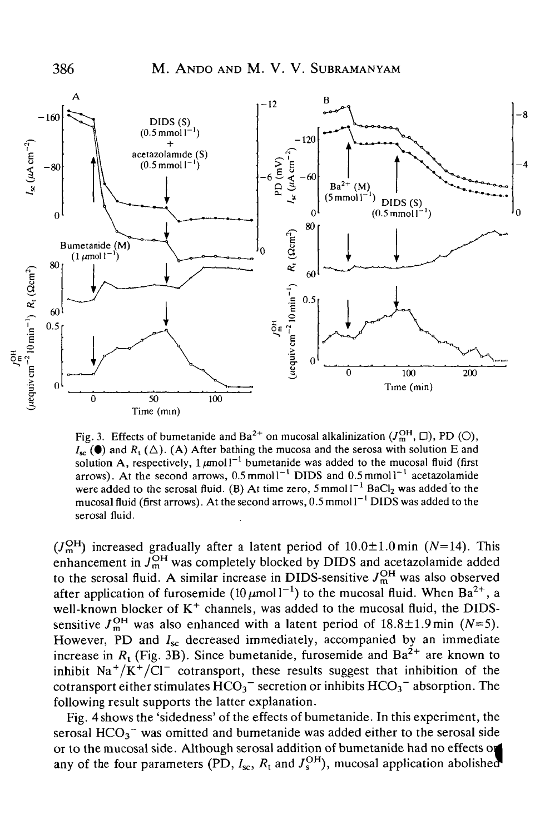

Fig. 3. Effects of bumetanide and Ba<sup>2+</sup> on mucosal alkalinization  $(J_m^{\text{OH}}, \Box)$ , PD (O),  $I_{\mathbf{r}}(\bullet)$  and  $R_{\mathbf{r}}(\Delta)$ . (A) After bathing the mucosa and the serosa with solution E and solution A, respectively,  $1 \mu$ moll<sup>-1</sup> bumetanide was added to the mucosal fluid (first arrows). At the second arrows,  $0.5 \text{ mmol}1^{-1}$  DIDS and  $0.5 \text{ mmol}1^{-1}$  acetazolamide were added to the serosal fluid. (B) At time zero,  $5 \text{ mmol} 1^{-1}$  BaCl<sub>2</sub> was added to the mucosal fluid (first arrows). At the second arrows,  $0.5$  mmol  $1^{-1}$  DIDS was added to the serosal fluid.

 $(J<sub>m</sub><sup>OH</sup>)$  increased gradually after a latent period of  $10.0 \pm 1.0$  min (N=14). This enhancement in  $J_m^{\text{OH}}$  was completely blocked by DIDS and acetazolamide added to the serosal fluid. A similar increase in DIDS-sensitive  $J_m^{\text{OH}}$  was also observed after application of furosemide  $(10 \,\mu \text{mol}\,l^{-1})$  to the mucosal fluid. When Ba<sup>2+</sup>, a well-known blocker of  $K^+$  channels, was added to the mucosal fluid, the DIDSsensitive  $J_m^{\text{OH}}$  was also enhanced with a latent period of  $18.8 \pm 1.9$  min ( $N=5$ ). However, PD and  $I_{\rm sc}$  decreased immediately, accompanied by an immediate increase in  $R_t$  (Fig. 3B). Since bumetanide, furosemide and  $Ba^{2+}$  are known to inhibit  $\text{Na}^+/\text{K}^+/\text{Cl}^-$  cotransport, these results suggest that inhibition of the cotransport either stimulates  $HCO<sub>3</sub><sup>-</sup>$  secretion or inhibits  $HCO<sub>3</sub><sup>-</sup>$  absorption. The following result supports the latter explanation.

Fig. 4 shows the 'sidedness' of the effects of bumetanide. In this experiment, the serosal  $HCO<sub>3</sub>$ <sup>-</sup> was omitted and bumetanide was added either to the serosal side or to the mucosal side. Although serosal addition of bumetanide had no effects o any of the four parameters (PD,  $I_{\rm sc}$ ,  $R_t$  and  $J_s^{\rm OH}$ ), mucosal application abolished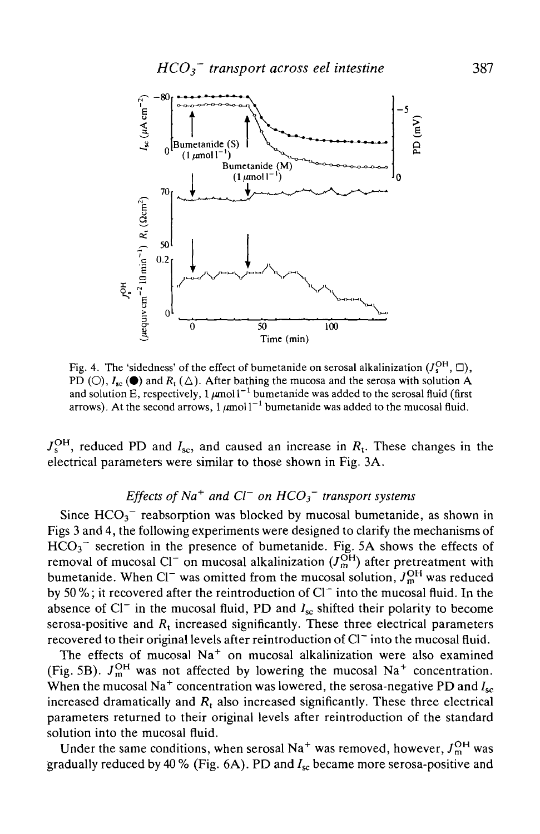

Fig. 4. The 'sidedness' of the effect of bumetanide on serosal alkalinization  $(J_s^{\text{OH}}, \Box)$ , PD (O),  $I_{\text{sc}}(\bullet)$  and  $R_{\text{t}}(\triangle)$ . After bathing the mucosa and the serosa with solution A and solution E, respectively, 1  $\mu$ mol l<sup>-1</sup> bumetanide was added to the serosal fluid (first arrows). At the second arrows,  $1 \mu \text{mol}^{-1}$  bumetanide was added to the mucosal fluid.

 $J_s^{\text{OH}}$ , reduced PD and  $I_{\text{sc}}$ , and caused an increase in  $R_t$ . These changes in the electrical parameters were similar to those shown in Fig. 3A.

## *Effects of Na<sup>+</sup> and Cl<sup>-</sup> on*  $HCO_3$ *<sup>-</sup> transport systems*

Since  $HCO<sub>3</sub><sup>-</sup>$  reabsorption was blocked by mucosal bumetanide, as shown in Figs 3 and 4, the following experiments were designed to clarify the mechanisms of  $HCO<sub>3</sub>$ <sup>-</sup> secretion in the presence of bumetanide. Fig. 5A shows the effects of removal of mucosal Cl<sup>-</sup> on mucosal alkalinization  $(J_m^{\text{OH}})$  after pretreatment with bumetanide. When Cl<sup>-</sup> was omitted from the mucosal solution,  $J_m^{\text{OH}}$  was reduced by 50 %; it recovered after the reintroduction of  $Cl^-$  into the mucosal fluid. In the absence of  $Cl^-$  in the mucosal fluid, PD and  $I_{sc}$  shifted their polarity to become serosa-positive and  $R_t$  increased significantly. These three electrical parameters recovered to their original levels after reintroduction of Cl<sup>-</sup> into the mucosal fluid.

The effects of mucosal  $Na<sup>+</sup>$  on mucosal alkalinization were also examined (Fig. 5B).  $J_m^{\text{OH}}$  was not affected by lowering the mucosal Na<sup>+</sup> concentration. When the mucosal Na<sup>+</sup> concentration was lowered, the serosa-negative PD and  $I_{sc}$ increased dramatically and  $R_t$  also increased significantly. These three electrical parameters returned to their original levels after reintroduction of the standard solution into the mucosal fluid.

Under the same conditions, when serosal Na<sup>+</sup> was removed, however,  $J_m^{\text{OH}}$  was gradually reduced by 40 % (Fig. 6A). PD and  $I_{\rm sc}$  became more serosa-positive and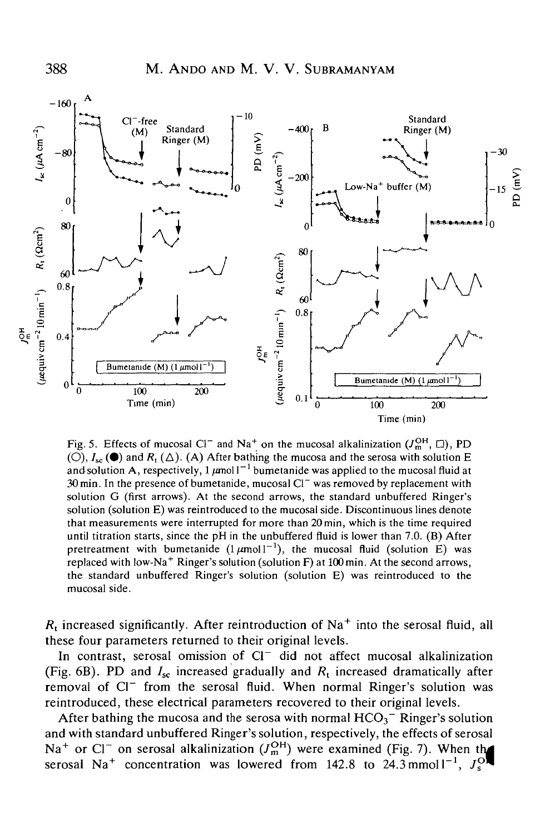

Fig. 5. Effects of mucosal Cl<sup>-</sup> and Na<sup>+</sup> on the mucosal alkalinization  $(J_m^{\text{OH}}, \Box)$ , PD (O),  $I_{\rm sc}$  ( $\bullet$ ) and  $R_{\rm t}$  ( $\Delta$ ). (A) After bathing the mucosa and the serosa with solution E and solution A, respectively,  $1 \mu$ mol  $1^{-1}$  bumetanide was applied to the mucosal fluid at 30 min. In the presence of bumetanide, mucosal Cl<sup>-</sup> was removed by replacement with solution G (first arrows). At the second arrows, the standard unbuffered Ringer's solution (solution E) was reintroduced to the mucosal side. Discontinuous lines denote that measurements were interrupted for more than 20min, which is the time required until titration starts, since the pH in the unbuffered fluid is lower than 7.0. (B) After pretreatment with bumetanide  $(1 \mu \text{mol})^{-1}$ , the mucosal fluid (solution E) was replaced with low-Na<sup>+</sup> Ringer's solution (solution F) at 100 min. At the second arrows, the standard unbuffered Ringer's solution (solution E) was reintroduced to the mucosal side.

 $R_t$  increased significantly. After reintroduction of Na<sup>+</sup> into the serosal fluid, all these four parameters returned to their original levels.

In contrast, serosal omission of Cl<sup>-</sup> did not affect mucosal alkalinization (Fig. 6B). PD and  $I_{sc}$  increased gradually and  $R_t$  increased dramatically after removal of Cl<sup>-</sup> from the serosal fluid. When normal Ringer's solution was reintroduced, these electrical parameters recovered to their original levels.

After bathing the mucosa and the serosa with normal  $HCO<sub>3</sub><sup>-</sup>$  Ringer's solution and with standard unbuffered Ringer's solution, respectively, the effects of serosal  $\text{Na}^+$  or Cl<sup>-</sup> on serosal alkalinization  $(J_m^{\text{OH}})$  were examined (Fig. 7). When the serosal Na<sup>+</sup> concentration was lowered from 142.8 to 24.3 mmoll<sup>-1</sup>,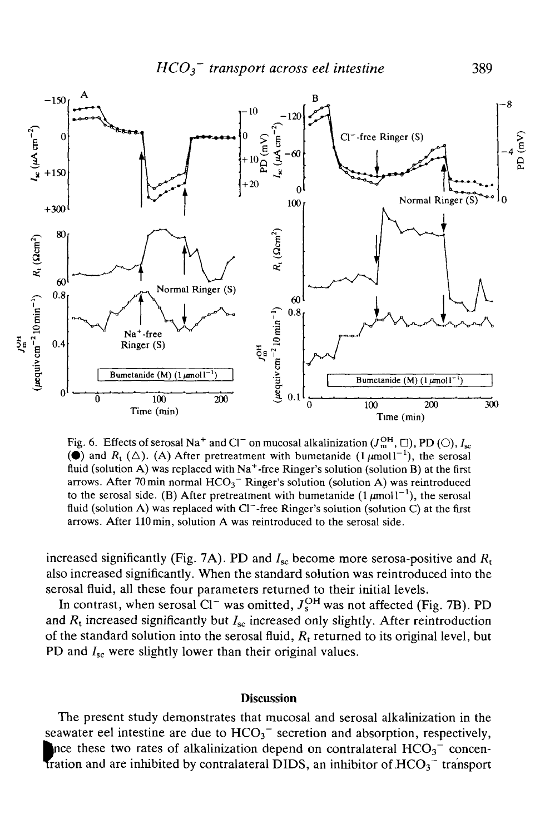

Fig. 6. Effects of serosal Na<sup>+</sup> and Cl<sup>-</sup> on mucosal alkalinization  $(J<sub>m</sub><sup>OH</sup>, \Box)$ , PD (O),  $I<sub>sc</sub>$ ( $\bullet$ ) and  $R_t$  ( $\triangle$ ). (A) After pretreatment with bumetanide  $(1 \mu mol^{-1})$ , the serosal fluid (solution A) was replaced with  $Na^+$ -free Ringer's solution (solution B) at the first arrows. After 70 min normal  $HCO<sub>3</sub>$ <sup>-</sup> Ringer's solution (solution A) was reintroduced to the serosal side. (B) After pretreatment with bumetanide  $(1 \mu mol^{-1})$ , the serosal fluid (solution A) was replaced with  $Cl^-$ -free Ringer's solution (solution C) at the first arrows. After 110 min, solution A was reintroduced to the serosal side.

increased significantly (Fig. 7A). PD and  $I_{\rm sc}$  become more serosa-positive and  $R_{\rm t}$ also increased significantly. When the standard solution was reintroduced into the serosal fluid, all these four parameters returned to their initial levels.

In contrast, when serosal  $Cl^-$  was omitted,  $J_s^{OH}$  was not affected (Fig. 7B). PD and  $R_t$  increased significantly but  $I_{sc}$  increased only slightly. After reintroduction of the standard solution into the serosal fluid,  $R_t$  returned to its original level, but PD and  $I_{\rm sc}$  were slightly lower than their original values.

## Discussion

The present study demonstrates that mucosal and serosal alkalinization in the seawater eel intestine are due to  $HCO<sub>3</sub><sup>-</sup>$  secretion and absorption, respectively, Ince these two rates of alkalinization depend on contralateral  $HCO_3^-$  concentration and are inhibited by contralateral DIDS, an inhibitor of  $HCO<sub>3</sub><sup>-</sup>$  transport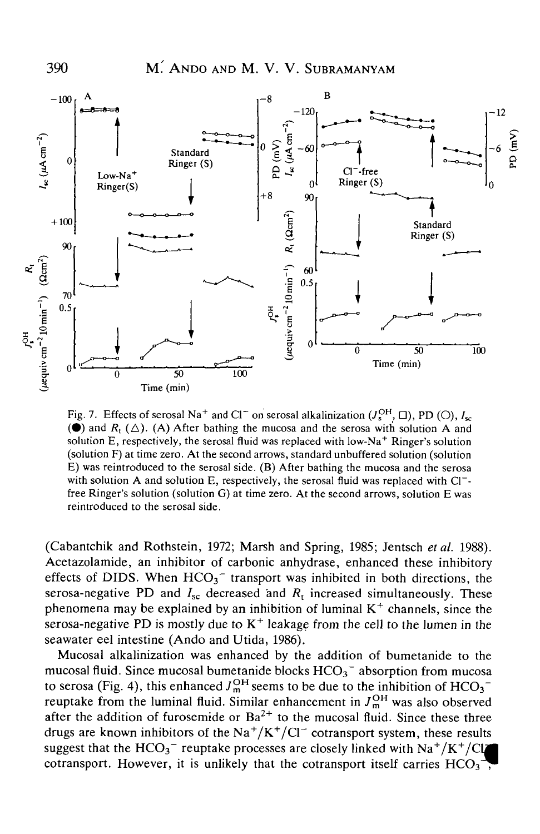390 M.' ANDO AND M. V. V. SUBRAMANYAM



Fig. 7. Effects of serosal Na<sup>+</sup> and Cl<sup>-</sup> on serosal alkalinization  $(J_s^{\text{OH}}, \Box)$ , PD (O),  $I_{\text{sc}}$ ( $\bullet$ ) and  $R_1(\triangle)$ . (A) After bathing the mucosa and the serosa with solution A and solution E, respectively, the serosal fluid was replaced with low-Na<sup>+</sup> Ringer's solution (solution F) at time zero. At the second arrows, standard unbuffered solution (solution E) was reintroduced to the serosal side. (B) After bathing the mucosa and the serosa with solution A and solution E, respectively, the serosal fluid was replaced with Cl<sup>-</sup>free Ringer's solution (solution G) at time zero. At the second arrows, solution E was reintroduced to the serosal side.

(Cabantchik and Rothstein, 1972; Marsh and Spring, 1985; Jentsch *etal.* 1988). Acetazolamide, an inhibitor of carbonic anhydrase, enhanced these inhibitory effects of DIDS. When  $HCO_3^-$  transport was inhibited in both directions, the serosa-negative PD and  $I_{\rm sc}$  decreased and  $R_{\rm t}$  increased simultaneously. These phenomena may be explained by an inhibition of luminal  $K^+$  channels, since the serosa-negative PD is mostly due to  $K^+$  leakage from the cell to the lumen in the seawater eel intestine (Ando and Utida, 1986).

Mucosal alkalinization was enhanced by the addition of bumetanide to the mucosal fluid. Since mucosal bumetanide blocks  $HCO_3^-$  absorption from mucosa to serosa (Fig. 4), this enhanced  $J_m^{\text{OH}}$  seems to be due to the inhibition of  $HCO_3^$ reuptake from the luminal fluid. Similar enhancement in  $J_m^{OH}$  was also observed after the addition of furosemide or  $Ba^{2+}$  to the mucosal fluid. Since these three drugs are known inhibitors of the  $\text{Na}^+/ \text{K}^+/ \text{Cl}^-$  cotransport system, these results suggest that the  $HCO_3^-$  reuptake processes are closely linked with  $Na^+/K^+/Cl_4$ cotransport. However, it is unlikely that the cotransport itself carries  $HCO<sub>3</sub>$ <sup>-</sup>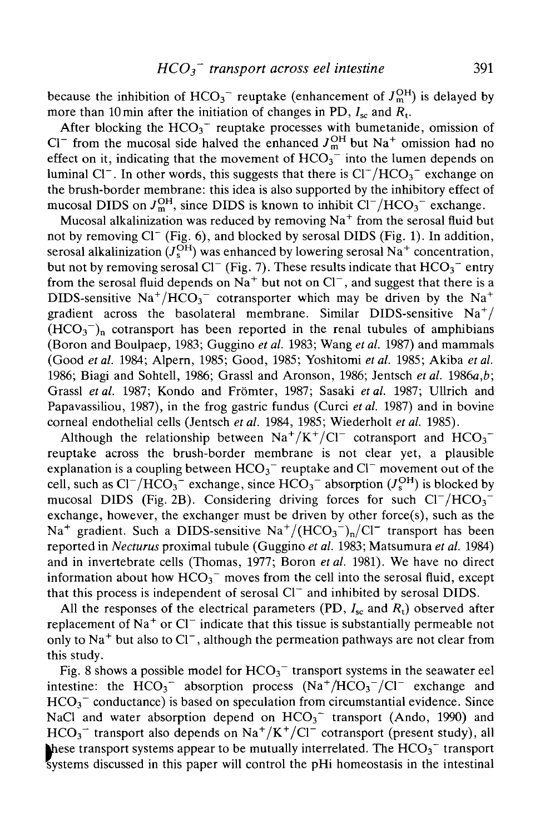because the inhibition of  $HCO_3^-$  reuptake (enhancement of  $J_{\text{m}}^{\text{OH}}$ ) is delayed by more than 10 min after the initiation of changes in PD,  $I_{\rm sc}$  and  $R_{\rm t}$ .

After blocking the  $HCO<sub>3</sub><sup>-</sup>$  reuptake processes with bumetanide, omission of Cl<sup>-</sup> from the mucosal side halved the enhanced  $J_{m}^{OH}$  but Na<sup>+</sup> omission had no effect on it, indicating that the movement of  $HCO<sub>3</sub><sup>-</sup>$  into the lumen depends on luminal Cl<sup>-</sup>. In other words, this suggests that there is  $Cl^{-}/HCO_{3}^{-}$  exchange on the brush-border membrane: this idea is also supported by the inhibitory effect of mucosal DIDS on  $J_{\text{m}}^{\text{OH}}$ , since DIDS is known to inhibit  $Cl^{-}/HCO_{3}^{-}$  exchange.

Mucosal alkalinization was reduced by removing Na $^+$  from the serosal fluid but not by removing Cl" (Fig. 6), and blocked by serosal DIDS (Fig. 1). In addition, serosal alkalinization ( $J_{\rm s}^{\rm OH}$ ) was enhanced by lowering serosal Na $^+$  concentration, but not by removing serosal Cl<sup>-</sup> (Fig. 7). These results indicate that  $HCO<sub>3</sub>^-$  entry from the serosal fluid depends on  $Na^+$  but not on  $Cl^-$ , and suggest that there is a DIDS-sensitive  $\text{Na}^+/\text{HCO}_3^-$  cotransporter which may be driven by the  $\text{Na}^+$ gradient across the basolateral membrane. Similar DIDS-sensitive  $Na<sup>+</sup>/$  $(HCO<sub>3</sub><sup>-</sup>)<sub>n</sub>$  cotransport has been reported in the renal tubules of amphibians (Boron and Boulpaep, 1983; Guggino *et al.* 1983; Wang *et al.* 1987) and mammals (Good *etal.* 1984; Alpern, 1985; Good, 1985; Yoshitomi *et al.* 1985; Akiba *et al.* 1986; Biagi and Sohtell, 1986; Grassl and Aronson, 1986; Jentsch *etal. 1986a,b;* Grassl *etal.* 1987; Kondo and Fromter, 1987; Sasaki *etal.* 1987; Ullrich and Papavassiliou, 1987), in the frog gastric fundus (Curci *etal.* 1987) and in bovine corneal endothelial cells (Jentsch *etal.* 1984, 1985; Wiederholt *etal.* 1985).

Although the relationship between  $Na^+/K^+/Cl^-$  cotransport and  $HCO_3^$ reuptake across the brush-border membrane is not clear yet, a plausible explanation is a coupling between  $HCO_3$ <sup>-</sup> reuptake and  $Cl^-$  movement out of the cell, such as  $Cl^{-}/HCO_3$ <sup>-</sup> exchange, since  $HCO_3$ <sup>-</sup> absorption ( $J_{\rm s}^{\rm OH}$ ) is blocked by mucosal DIDS (Fig. 2B). Considering driving forces for such  $Cl^{-}/HCO_{3}^{-}$ exchange, however, the exchanger must be driven by other force(s), such as the Na<sup>+</sup> gradient. Such a DIDS-sensitive Na<sup>+</sup>/(HCO<sub>3</sub><sup>-</sup>)<sub>n</sub>/Cl<sup>-</sup> transport has been reported in *Necturus* proximal tubule (Guggino *et al.* 1983; Matsumura *et al.* 1984) and in invertebrate cells (Thomas, 1977; Boron *etal.* 1981). We have no direct information about how  $HCO_3^-$  moves from the cell into the serosal fluid, except that this process is independent of serosal  $Cl<sup>+</sup>$  and inhibited by serosal DIDS.

All the responses of the electrical parameters (PD,  $I_{\rm sc}$  and  $R_{\rm t}$ ) observed after replacement of  $Na<sup>+</sup>$  or Cl<sup>-</sup> indicate that this tissue is substantially permeable not only to  $\text{Na}^+$  but also to Cl<sup>-</sup>, although the permeation pathways are not clear from this study.

Fig. 8 shows a possible model for  $HCO_3$ <sup>-</sup> transport systems in the seawater eel intestine: the  $HCO_3^-$  absorption process  $(Na^+/HCO_3^-/Cl^-$  exchange and  $HCO<sub>3</sub><sup>-</sup>$  conductance) is based on speculation from circumstantial evidence. Since NaCl and water absorption depend on  $HCO_3$ <sup>-</sup> transport (Ando, 1990) and  $HCO_3^-$  transport also depends on Na<sup>+</sup>/K<sup>+</sup>/Cl<sup>-</sup> cotransport (present study), all These transport systems appear to be mutually interrelated. The  $HCO_3^-$  transport systems discussed in this paper will control the pHi homeostasis in the intestinal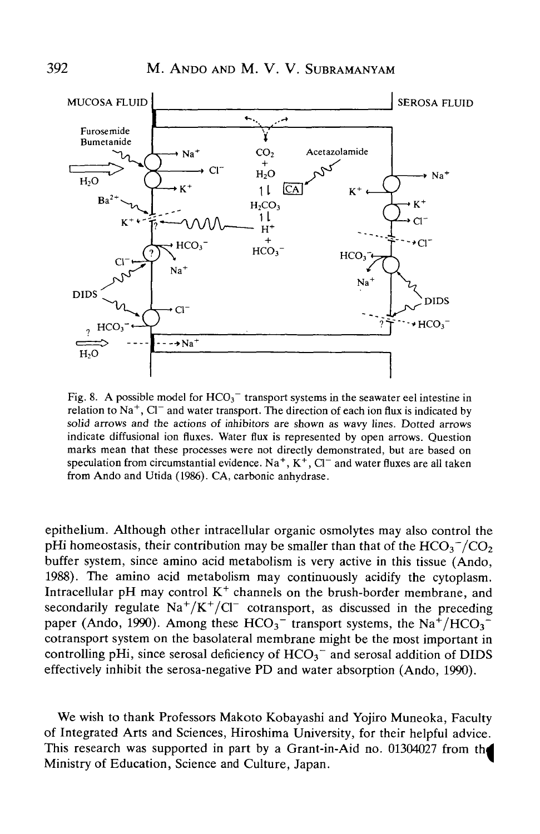

Fig. 8. A possible model for  $HCO<sub>3</sub><sup>-</sup>$  transport systems in the seawater eel intestine in relation to  $\text{Na}^+$ , Cl<sup>-</sup> and water transport. The direction of each ion flux is indicated by solid arrows and the actions of inhibitors are shown as wavy lines. Dotted arrows indicate diffusional ion fluxes. Water flux is represented by open arrows. Question marks mean that these processes were not directly demonstrated, but are based on speculation from circumstantial evidence. Na<sup>+</sup>, K<sup>+</sup>, Cl<sup>-</sup> and water fluxes are all taken from Ando and Utida (1986). CA, carbonic anhydrase.

epithelium. Although other intracellular organic osmolytes may also control the pHi homeostasis, their contribution may be smaller than that of the  $HCO_3^-/CO_2$ buffer system, since amino acid metabolism is very active in this tissue (Ando, 1988). The amino acid metabolism may continuously acidify the cytoplasm. Intracellular pH may control  $K^+$  channels on the brush-border membrane, and secondarily regulate  $Na^{+}/K^{+}/Cl^{-}$  cotransport, as discussed in the preceding paper (Ando, 1990). Among these  $HCO_3$ <sup>-</sup> transport systems, the Na<sup>+</sup>/HCO<sub>3</sub><sup>-</sup> cotransport system on the basolateral membrane might be the most important in controlling pHi, since serosal deficiency of  $HCO<sub>3</sub>~$  and serosal addition of DIDS effectively inhibit the serosa-negative PD and water absorption (Ando, 1990).

We wish to thank Professors Makoto Kobayashi and Yojiro Muneoka, Faculty of Integrated Arts and Sciences, Hiroshima University, for their helpful advice. This research was supported in part by a Grant-in-Aid no. 01304027 from the Ministry of Education, Science and Culture, Japan.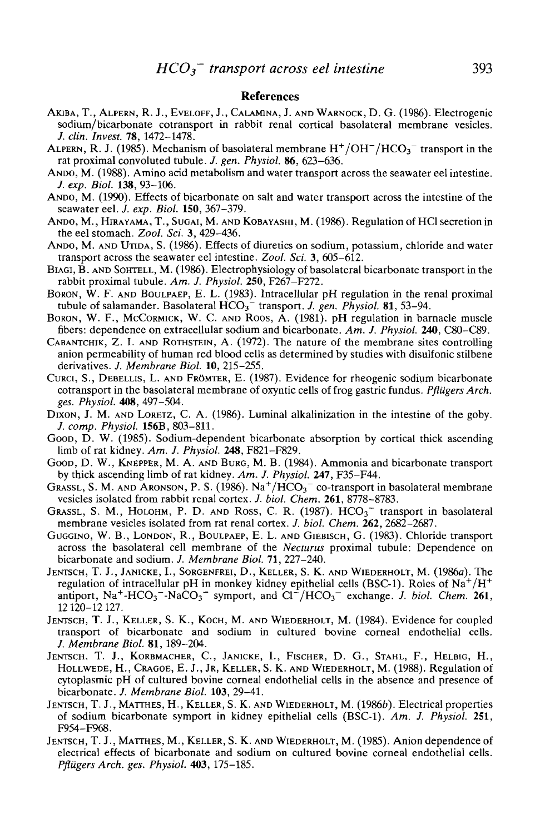#### References

- AHBA, T., ALPERN, R. J., EVELOFF, J., CALAMINA, J. AND WARNOCK, D. G. (1986). Electrogenic sodium/bicarbonate cotransport in rabbit renal cortical basolateral membrane vesicles. *J. din. Invest.* **78,** 1472-1478.
- ALPERN, R. J. (1985). Mechanism of basolateral membrane  $\rm H^{+}/OH^{-}/HCO_{3}^{-}$  transport in the rat proximal convoluted tubule. *J. gen. Physiol.* **86,** 623-636.
- ANDO, M. (1988). Amino acid metabolism and water transport across the seawater eel intestine. /. *exp. Biol.* **138,** 93-106.
- ANDO, M. (1990). Effects of bicarbonate on salt and water transport across the intestine of the seawater eel. *J. exp. Biol.* **150,** 367-379.
- ANDO, M., HIRAYAMA, T., SUGAI, M. AND KOBAYASHI, M. (1986). Regulation of HC1 secretion in the eel stomach. *Zool. Sci.* 3, 429-436.
- ANDO, M. AND UTIDA, S. (1986). Effects of diuretics on sodium, potassium, chloride and water transport across the seawater eel intestine. *Zool. Sci.* 3, 605-612.
- BIAGI, B. AND SOHTELL, M. (1986). Electrophysiology of basolateral bicarbonate transport in the rabbit proximal tubule. *Am. J. Physiol.* **250,** F267-F272.
- BORON, W. F. AND BOULPAEP, E. L. (1983). Intracellular pH regulation in the renal proximal tubule of salamander. Basolateral HCO<sub>3</sub><sup>-</sup> transport. *J. gen. Physiol.* **81**, 53-94.
- BORON, W. F., MCCORMICK, W. C. AND ROOS, A. (1981). pH regulation in barnacle muscle fibers: dependence on extracellular sodium and bicarbonate. *Am. J. Physiol.* **240,** C80-C89.
- CABANTCHIK, Z. I. AND ROTHSTEIN, A.  $(1972)$ . The nature of the membrane sites controlling anion permeability of human red blood cells as determined by studies with disulfonic stilbene derivatives. *J. Membrane Biol.* 10, 215-255.
- CURCI, S., DEBELLIS, L. AND FROMTER, E. (1987). Evidence for rheogenic sodium bicarbonate cotransport in the basolateral membrane of oxyntic cells of frog gastric fundus. *PflUgers Arch. ges. Physiol.* **408,** 497-504.
- DIXON, J. M. AND LORETZ, C. A. (1986). Luminal alkalinization in the intestine of the goby. *J. comp. Physiol.* 156B, 803-811.
- Goop, D. W. (1985). Sodium-dependent bicarbonate absorption by cortical thick ascending limb of rat kidney. *Am. J. Physiol.* **248,** F821-F829.
- GOOD, D. W., KNEPPER, M. A. AND BURG, M. B. (1984). Ammonia and bicarbonate transport by thick ascending limb of rat kidney. *Am. J. Physiol.* **247,** F35-F44.
- GRASSL, S. M. AND ARONSON, P. S. (1986). Na<sup>+</sup>/HCO<sub>3</sub><sup>-</sup> co-transport in basolateral membrane vesicles isolated from rabbit renal cortex. *J. biol. Chem.* **261,** 8778-8783.
- GRASSL, S. M., HOLOHM, P. D. AND ROSS, C. R.  $(1987)$ .  $HCO<sub>3</sub><sup>-</sup>$  transport in basolateral membrane vesicles isolated from rat renal cortex. *J. biol. Chem.* **262,** 2682-2687.
- GUGGINO, W. B., LONDON, R., BOULPAEP, E. L. AND GIEBISCH, G. (1983). Chloride transport across the basolateral cell membrane of the *Necturus* proximal tubule: Dependence on bicarbonate and sodium. *J. Membrane Biol.* 71, 227-240.
- JENTSCH, T. J., JANICKE, I., SORGENFREI, D., KELLER, S. K. AND WIEDERHOLT, M. (1986a). The regulation of intracellular pH in monkey kidney epithelial cells (BSC-1). Roles of  $\text{Na}^+/ \text{H}^+$ antiport, Na<sup>+</sup>-HCO<sub>3</sub><sup>-</sup>-NaCO<sub>3</sub><sup>-</sup> symport, and Cl<sup>-</sup>/HCO<sub>3</sub><sup>-</sup> exchange. *J. biol. Chem.* 261, 12120-12127.
- JENTSCH, T. J., KELLER, S. K., KOCH, M. AND WIEDERHOLT, M. (1984). Evidence for coupled transport of bicarbonate and sodium in cultured bovine corneal endothelial cells. /. *Membrane Biol.* **81,** 189-204.
- JENTSCH, T. J., KORBMACHER, C, JANICKE, I., FISCHER, D. G., STAHL, F., FIELBIG, H., HOLLWEDE, H., CRAGOE, E. J., JR, KELLER, S. K. AND WIEDERHOLT, M. (1988). Regulation of cytoplasmic pH of cultured bovine corneal endothelial cells in the absence and presence of bicarbonate. /. *Membrane Biol.* **103,** 29-41.
- JENTSCH, T. J., MATTHES, H., KELLER, S. K. AND WLEDERHOLT, M. (1986b). Electrical properties of sodium bicarbonate symport in kidney epithelial cells (BSC-1). *Am. J. Physiol.* **251,** F954-F968.
- JENTSCH, T. J., MATTHES, M., KELLER, S. K. AND WIEDERHOLT, M. (1985). Anion dependence of electrical effects of bicarbonate and sodium on cultured bovine corneal endothelial cells. *PflugersArch. ges. Physiol.* **403,** 175-185.